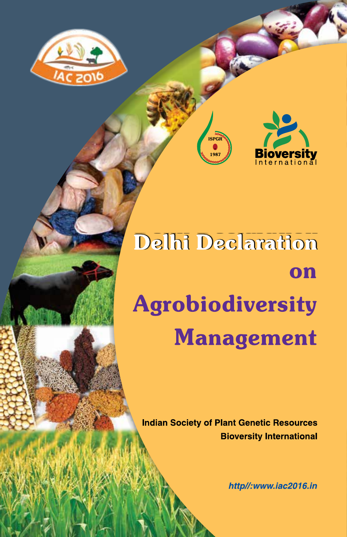



# Delhi Declaration on **Agrobiodiversity Management**

**ISPGR** 

i oe'

**Indian Society of Plant Genetic Resources Bioversity International** 

http//:www.iac2016.in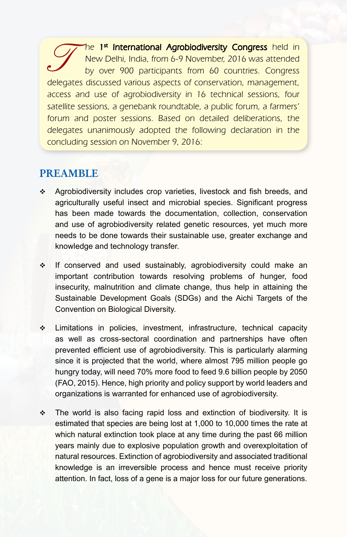The 1<sup>st</sup> International Agrobiodiversity Congress held in New Delhi, India, from 6-9 November, 2016 was attended by over 900 participants from 60 countries. Congress delegates discussed various aspects of conservation, management, access and use of agrobiodiversity in 16 technical sessions, four satellite sessions, a genebank roundtable, a public forum, a farmers' forum and poster sessions. Based on detailed deliberations, the delegates unanimously adopted the following declaration in the concluding session on November 9, 2016:

### **PREAMBLE**

- Agrobiodiversity includes crop varieties, livestock and fish breeds, and agriculturally useful insect and microbial species. Significant progress has been made towards the documentation, collection, conservation and use of agrobiodiversity related genetic resources, yet much more needs to be done towards their sustainable use, greater exchange and knowledge and technology transfer.
- If conserved and used sustainably, agrobiodiversity could make an important contribution towards resolving problems of hunger, food insecurity, malnutrition and climate change, thus help in attaining the Sustainable Development Goals (SDGs) and the Aichi Targets of the Convention on Biological Diversity.
- Limitations in policies, investment, infrastructure, technical capacity as well as cross-sectoral coordination and partnerships have often prevented efficient use of agrobiodiversity. This is particularly alarming since it is projected that the world, where almost 795 million people go hungry today, will need 70% more food to feed 9.6 billion people by 2050 (FAO, 2015). Hence, high priority and policy support by world leaders and organizations is warranted for enhanced use of agrobiodiversity.
- The world is also facing rapid loss and extinction of biodiversity. It is estimated that species are being lost at 1,000 to 10,000 times the rate at which natural extinction took place at any time during the past 66 million years mainly due to explosive population growth and overexploitation of natural resources. Extinction of agrobiodiversity and associated traditional knowledge is an irreversible process and hence must receive priority attention. In fact, loss of a gene is a major loss for our future generations.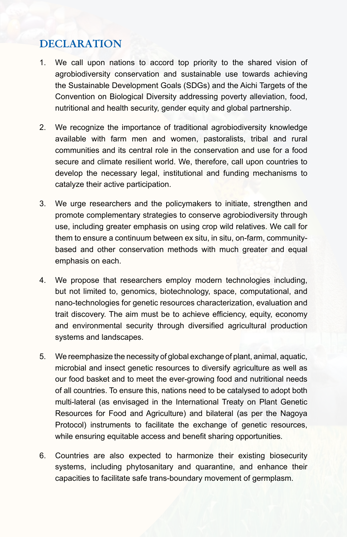## **DECLARATION**

- 1. We call upon nations to accord top priority to the shared vision of agrobiodiversity conservation and sustainable use towards achieving the Sustainable Development Goals (SDGs) and the Aichi Targets of the Convention on Biological Diversity addressing poverty alleviation, food, nutritional and health security, gender equity and global partnership.
- 2. We recognize the importance of traditional agrobiodiversity knowledge available with farm men and women, pastoralists, tribal and rural communities and its central role in the conservation and use for a food secure and climate resilient world. We, therefore, call upon countries to develop the necessary legal, institutional and funding mechanisms to catalyze their active participation.
- 3. We urge researchers and the policymakers to initiate, strengthen and promote complementary strategies to conserve agrobiodiversity through use, including greater emphasis on using crop wild relatives. We call for them to ensure a continuum between ex situ, in situ, on-farm, communitybased and other conservation methods with much greater and equal emphasis on each.
- 4. We propose that researchers employ modern technologies including, but not limited to, genomics, biotechnology, space, computational, and nano-technologies for genetic resources characterization, evaluation and trait discovery. The aim must be to achieve efficiency, equity, economy and environmental security through diversified agricultural production systems and landscapes.
- 5. We reemphasize the necessity of global exchange of plant, animal, aquatic, microbial and insect genetic resources to diversify agriculture as well as our food basket and to meet the ever-growing food and nutritional needs of all countries. To ensure this, nations need to be catalysed to adopt both multi-lateral (as envisaged in the International Treaty on Plant Genetic Resources for Food and Agriculture) and bilateral (as per the Nagoya Protocol) instruments to facilitate the exchange of genetic resources, while ensuring equitable access and benefit sharing opportunities.
- 6. Countries are also expected to harmonize their existing biosecurity systems, including phytosanitary and quarantine, and enhance their capacities to facilitate safe trans-boundary movement of germplasm.